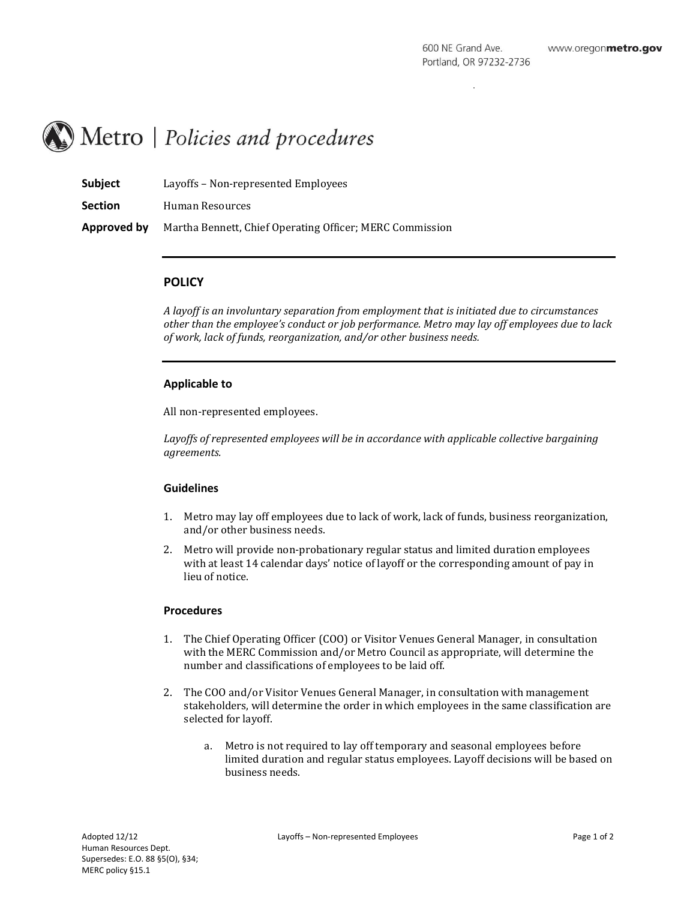# Metro | Policies and procedures

| <b>Subject</b> | Layoffs – Non-represented Employees                      |
|----------------|----------------------------------------------------------|
| <b>Section</b> | Human Resources                                          |
| Approved by    | Martha Bennett, Chief Operating Officer; MERC Commission |

# **POLICY**

*A layoff is an involuntary separation from employment that is initiated due to circumstances other than the employee's conduct or job performance. Metro may lay off employees due to lack of work, lack of funds, reorganization, and/or other business needs.* 

## **Applicable to**

All non-represented employees.

Layoffs of represented employees will be in accordance with applicable collective bargaining *agreements.*

#### **Guidelines**

- 1. Metro may lay off employees due to lack of work, lack of funds, business reorganization, and/or other business needs.
- 2. Metro will provide non-probationary regular status and limited duration employees with at least 14 calendar days' notice of layoff or the corresponding amount of pay in lieu of notice.

## **Procedures**

- 1. The Chief Operating Officer (COO) or Visitor Venues General Manager, in consultation with the MERC Commission and/or Metro Council as appropriate, will determine the number and classifications of employees to be laid off.
- 2. The COO and/or Visitor Venues General Manager, in consultation with management stakeholders, will determine the order in which employees in the same classification are selected for layoff.
	- a. Metro is not required to lay off temporary and seasonal employees before limited duration and regular status employees. Layoff decisions will be based on business needs.